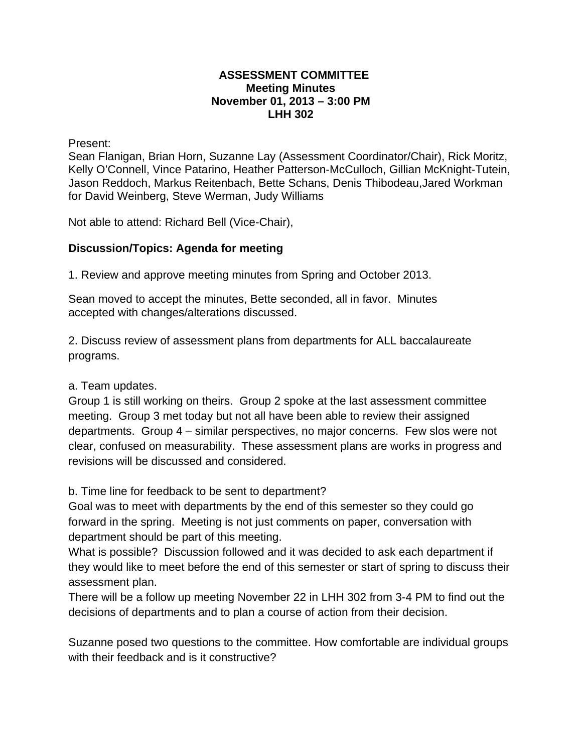## **ASSESSMENT COMMITTEE Meeting Minutes November 01, 2013 – 3:00 PM LHH 302**

Present:

Sean Flanigan, Brian Horn, Suzanne Lay (Assessment Coordinator/Chair), Rick Moritz, Kelly O'Connell, Vince Patarino, Heather Patterson-McCulloch, Gillian McKnight-Tutein, Jason Reddoch, Markus Reitenbach, Bette Schans, Denis Thibodeau,Jared Workman for David Weinberg, Steve Werman, Judy Williams

Not able to attend: Richard Bell (Vice-Chair),

## **Discussion/Topics: Agenda for meeting**

1. Review and approve meeting minutes from Spring and October 2013.

Sean moved to accept the minutes, Bette seconded, all in favor. Minutes accepted with changes/alterations discussed.

2. Discuss review of assessment plans from departments for ALL baccalaureate programs.

## a. Team updates.

Group 1 is still working on theirs. Group 2 spoke at the last assessment committee meeting. Group 3 met today but not all have been able to review their assigned departments. Group 4 – similar perspectives, no major concerns. Few slos were not clear, confused on measurability. These assessment plans are works in progress and revisions will be discussed and considered.

b. Time line for feedback to be sent to department?

Goal was to meet with departments by the end of this semester so they could go forward in the spring. Meeting is not just comments on paper, conversation with department should be part of this meeting.

What is possible? Discussion followed and it was decided to ask each department if they would like to meet before the end of this semester or start of spring to discuss their assessment plan.

There will be a follow up meeting November 22 in LHH 302 from 3-4 PM to find out the decisions of departments and to plan a course of action from their decision.

Suzanne posed two questions to the committee. How comfortable are individual groups with their feedback and is it constructive?